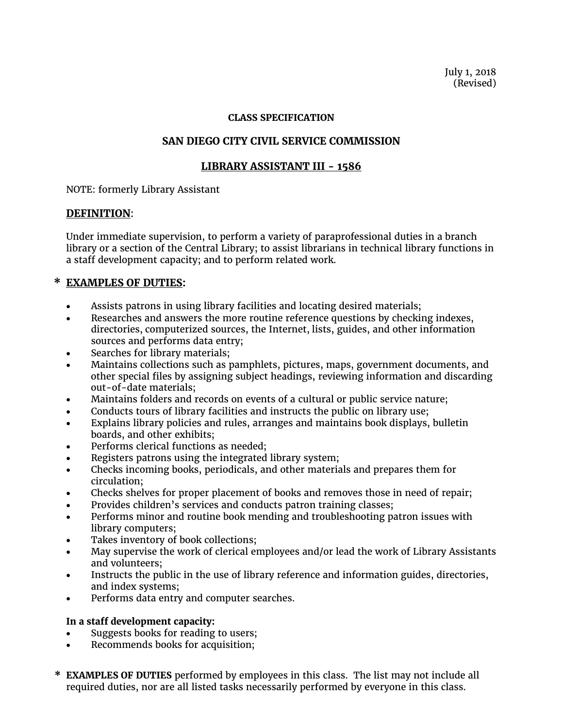July 1, 2018 (Revised)

#### **CLASS SPECIFICATION**

# **SAN DIEGO CITY CIVIL SERVICE COMMISSION**

# **LIBRARY ASSISTANT III - 1586**

NOTE: formerly Library Assistant

### **DEFINITION**:

Under immediate supervision, to perform a variety of paraprofessional duties in a branch library or a section of the Central Library; to assist librarians in technical library functions in a staff development capacity; and to perform related work.

### **\* EXAMPLES OF DUTIES:**

- Assists patrons in using library facilities and locating desired materials;
- Researches and answers the more routine reference questions by checking indexes, directories, computerized sources, the Internet, lists, guides, and other information sources and performs data entry;
- Searches for library materials;
- Maintains collections such as pamphlets, pictures, maps, government documents, and other special files by assigning subject headings, reviewing information and discarding out-of-date materials;
- Maintains folders and records on events of a cultural or public service nature;
- Conducts tours of library facilities and instructs the public on library use;
- Explains library policies and rules, arranges and maintains book displays, bulletin boards, and other exhibits;
- Performs clerical functions as needed;
- Registers patrons using the integrated library system;
- Checks incoming books, periodicals, and other materials and prepares them for circulation;
- Checks shelves for proper placement of books and removes those in need of repair;
- Provides children's services and conducts patron training classes;
- Performs minor and routine book mending and troubleshooting patron issues with library computers;
- Takes inventory of book collections;
- May supervise the work of clerical employees and/or lead the work of Library Assistants and volunteers;
- Instructs the public in the use of library reference and information guides, directories, and index systems;
- Performs data entry and computer searches.

### **In a staff development capacity:**

- Suggests books for reading to users;
- Recommends books for acquisition;
- **\* EXAMPLES OF DUTIES** performed by employees in this class. The list may not include all required duties, nor are all listed tasks necessarily performed by everyone in this class.